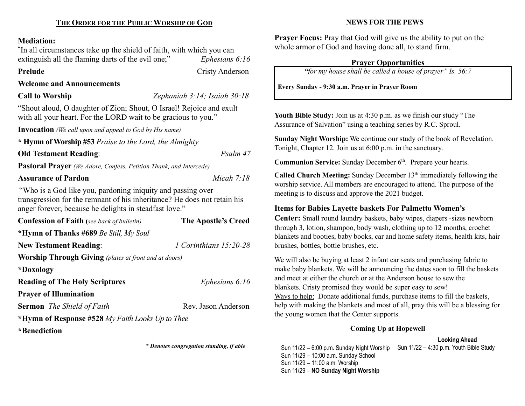#### Mediation:

" In all circumstances take up the shield of faith, with which you can extinguish all the flaming darts of the evil one;" Ephesians 6:16

#### Prelude Cristy Anderson

# Welcome and Announcements

Call to Worship Zephaniah 3:14; Isaiah 30:18

"Shout aloud, O daughter of Zion; Shout, O Israel! Rejoice and exult with all your heart. For the LORD wait to be gracious to you."

Invocation (We call upon and appeal to God by His name)

\* Hymn of Worship #53 Praise to the Lord, the Almighty

### Old Testament Reading: Psalm 47

Pastoral Prayer (We Adore, Confess, Petition Thank, and Intercede)

#### Assurance of Pardon Micah 7:18

"Who is a God like you, pardoning iniquity and passing over transgression for the remnant of his inheritance? He does not retain his anger forever, because he delights in steadfast love."

| <b>Confession of Faith</b> (see back of bulletin)            | The Apostle's Creed    |  |  |
|--------------------------------------------------------------|------------------------|--|--|
| *Hymn of Thanks #689 Be Still, My Soul                       |                        |  |  |
| <b>New Testament Reading:</b>                                | 1 Corinthians 15:20-28 |  |  |
| <b>Worship Through Giving</b> (plates at front and at doors) |                        |  |  |
| *Doxology                                                    |                        |  |  |
| <b>Reading of The Holy Scriptures</b>                        | Ephesians 6:16         |  |  |
| <b>Prayer of Illumination</b>                                |                        |  |  |
| <b>Sermon</b> The Shield of Faith                            | Rev. Jason Anderson    |  |  |
| *Hymn of Response #528 My Faith Looks Up to Thee             |                        |  |  |
| <i>*</i> Benediction                                         |                        |  |  |

\* Denotes congregation standing, if able

#### NEWS FOR THE PEWS

Prayer Focus: Pray that God will give us the ability to put on the whole armor of God and having done all, to stand firm.

### Prayer Opportunities

"for my house shall be called a house of prayer" Is. 56:7

Every Sunday - 9:30 a.m. Prayer in Prayer Room

Youth Bible Study: Join us at 4:30 p.m. as we finish our study "The Assurance of Salvation" using a teaching series by R.C. Sproul.

Sunday Night Worship: We continue our study of the book of Revelation. Tonight, Chapter 12. Join us at 6:00 p.m. in the sanctuary.

Communion Service: Sunday December 6<sup>th</sup>. Prepare your hearts.

Called Church Meeting: Sunday December  $13<sup>th</sup>$  immediately following the worship service. All members are encouraged to attend. The purpose of the meeting is to discuss and approve the 2021 budget.

## Items for Babies Layette baskets For Palmetto Women's

Center: Small round laundry baskets, baby wipes, diapers -sizes newborn through 3, lotion, shampoo, body wash, clothing up to 12 months, crochet blankets and booties, baby books, car and home safety items, health kits, hair brushes, bottles, bottle brushes, etc.

We will also be buying at least 2 infant car seats and purchasing fabric to make baby blankets. We will be announcing the dates soon to fill the baskets and meet at either the church or at the Anderson house to sew the blankets. Cristy promised they would be super easy to sew! Ways to help: Donate additional funds, purchase items to fill the baskets, help with making the blankets and most of all, pray this will be a blessing for the young women that the Center supports.

#### Coming Up at Hopewell

Looking Ahead Sun 11/22 – 4:30 p.m. Youth Bible Study Sun 11/22 – 6:00 p.m. Sunday Night Worship Sun 11/29 – 10:00 a.m. Sunday School Sun 11/29 – 11:00 a.m. Worship Sun 11/29 – NO Sunday Night Worship